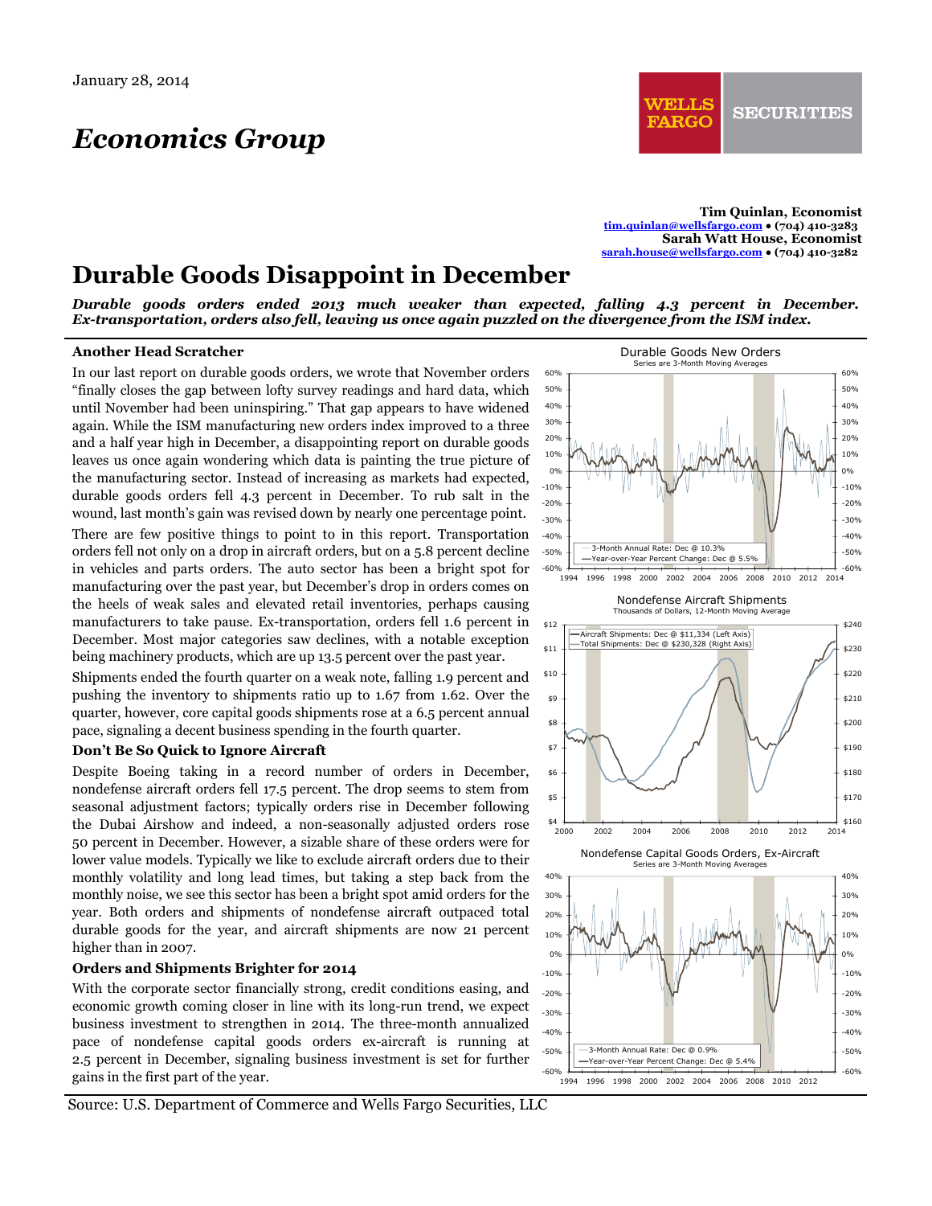# *Economics Group*

**Tim Quinlan, Economist tim.quinlan@wellsfargo.com ● (704) 410-3283 Sarah Watt House, Economist sarah.house@wellsfargo.com ● (704) 410-3282** 

## **Durable Goods Disappoint in December**

*Durable goods orders ended 2013 much weaker than expected, falling 4.3 percent in December. Ex-transportation, orders also fell, leaving us once again puzzled on the divergence from the ISM index.* 

#### **Another Head Scratcher**

In our last report on durable goods orders, we wrote that November orders "finally closes the gap between lofty survey readings and hard data, which until November had been uninspiring." That gap appears to have widened again. While the ISM manufacturing new orders index improved to a three and a half year high in December, a disappointing report on durable goods leaves us once again wondering which data is painting the true picture of the manufacturing sector. Instead of increasing as markets had expected, durable goods orders fell 4.3 percent in December. To rub salt in the wound, last month's gain was revised down by nearly one percentage point.

There are few positive things to point to in this report. Transportation orders fell not only on a drop in aircraft orders, but on a 5.8 percent decline in vehicles and parts orders. The auto sector has been a bright spot for manufacturing over the past year, but December's drop in orders comes on the heels of weak sales and elevated retail inventories, perhaps causing manufacturers to take pause. Ex-transportation, orders fell 1.6 percent in December. Most major categories saw declines, with a notable exception being machinery products, which are up 13.5 percent over the past year.

Shipments ended the fourth quarter on a weak note, falling 1.9 percent and pushing the inventory to shipments ratio up to 1.67 from 1.62. Over the quarter, however, core capital goods shipments rose at a 6.5 percent annual pace, signaling a decent business spending in the fourth quarter.

#### **Don't Be So Quick to Ignore Aircraft**

Despite Boeing taking in a record number of orders in December, nondefense aircraft orders fell 17.5 percent. The drop seems to stem from seasonal adjustment factors; typically orders rise in December following the Dubai Airshow and indeed, a non-seasonally adjusted orders rose 50 percent in December. However, a sizable share of these orders were for lower value models. Typically we like to exclude aircraft orders due to their monthly volatility and long lead times, but taking a step back from the monthly noise, we see this sector has been a bright spot amid orders for the year. Both orders and shipments of nondefense aircraft outpaced total durable goods for the year, and aircraft shipments are now 21 percent higher than in 2007.

#### **Orders and Shipments Brighter for 2014**

With the corporate sector financially strong, credit conditions easing, and economic growth coming closer in line with its long-run trend, we expect business investment to strengthen in 2014. The three-month annualized pace of nondefense capital goods orders ex-aircraft is running at 2.5 percent in December, signaling business investment is set for further gains in the first part of the year.



Source: U.S. Department of Commerce and Wells Fargo Securities, LLC